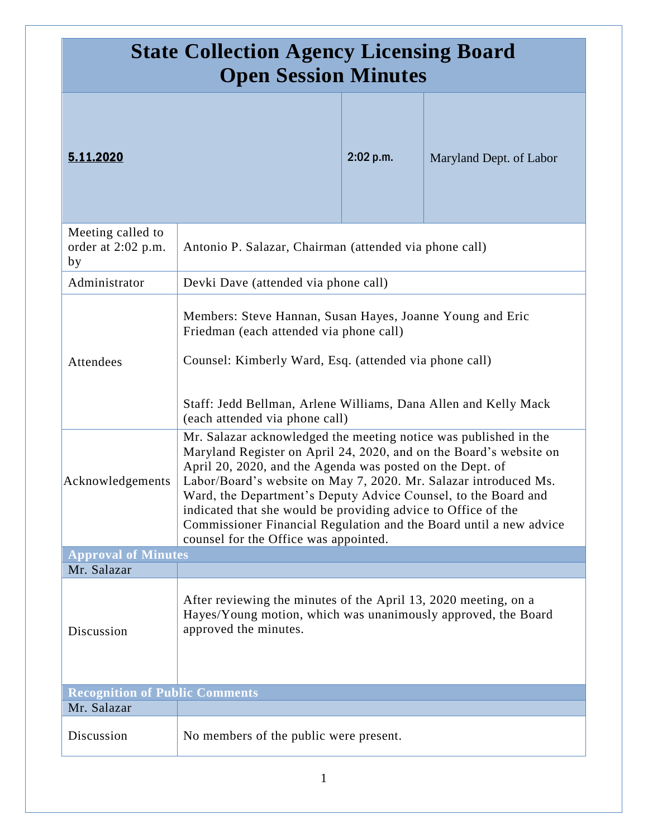| <b>State Collection Agency Licensing Board</b><br><b>Open Session Minutes</b> |                                                                                                                                                                                                                                                                                                                                                                                                                                                                                                                           |           |                         |
|-------------------------------------------------------------------------------|---------------------------------------------------------------------------------------------------------------------------------------------------------------------------------------------------------------------------------------------------------------------------------------------------------------------------------------------------------------------------------------------------------------------------------------------------------------------------------------------------------------------------|-----------|-------------------------|
| 5.11.2020                                                                     |                                                                                                                                                                                                                                                                                                                                                                                                                                                                                                                           | 2:02 p.m. | Maryland Dept. of Labor |
| Meeting called to<br>order at 2:02 p.m.<br>by                                 | Antonio P. Salazar, Chairman (attended via phone call)                                                                                                                                                                                                                                                                                                                                                                                                                                                                    |           |                         |
| Administrator                                                                 | Devki Dave (attended via phone call)                                                                                                                                                                                                                                                                                                                                                                                                                                                                                      |           |                         |
| Attendees                                                                     | Members: Steve Hannan, Susan Hayes, Joanne Young and Eric<br>Friedman (each attended via phone call)<br>Counsel: Kimberly Ward, Esq. (attended via phone call)<br>Staff: Jedd Bellman, Arlene Williams, Dana Allen and Kelly Mack<br>(each attended via phone call)                                                                                                                                                                                                                                                       |           |                         |
| Acknowledgements                                                              | Mr. Salazar acknowledged the meeting notice was published in the<br>Maryland Register on April 24, 2020, and on the Board's website on<br>April 20, 2020, and the Agenda was posted on the Dept. of<br>Labor/Board's website on May 7, 2020. Mr. Salazar introduced Ms.<br>Ward, the Department's Deputy Advice Counsel, to the Board and<br>indicated that she would be providing advice to Office of the<br>Commissioner Financial Regulation and the Board until a new advice<br>counsel for the Office was appointed. |           |                         |
| <b>Approval of Minutes</b>                                                    |                                                                                                                                                                                                                                                                                                                                                                                                                                                                                                                           |           |                         |
| Mr. Salazar<br>Discussion                                                     | After reviewing the minutes of the April 13, 2020 meeting, on a<br>Hayes/Young motion, which was unanimously approved, the Board<br>approved the minutes.                                                                                                                                                                                                                                                                                                                                                                 |           |                         |
| <b>Recognition of Public Comments</b>                                         |                                                                                                                                                                                                                                                                                                                                                                                                                                                                                                                           |           |                         |
| Mr. Salazar                                                                   |                                                                                                                                                                                                                                                                                                                                                                                                                                                                                                                           |           |                         |
| Discussion                                                                    | No members of the public were present.                                                                                                                                                                                                                                                                                                                                                                                                                                                                                    |           |                         |

1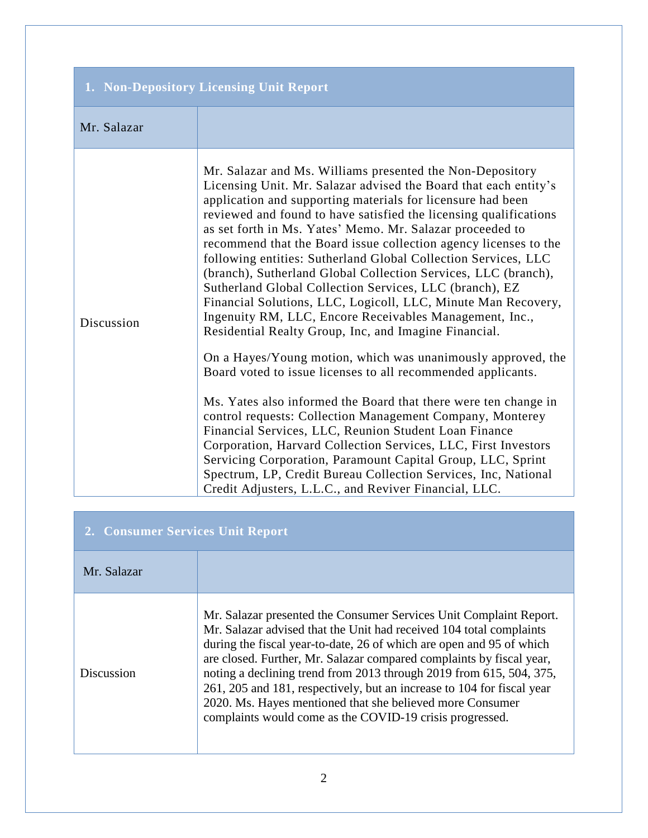| 1. Non-Depository Licensing Unit Report |                                                                                                                                                                                                                                                                                                                                                                                                                                                                                                                                                                                                                                                                                                                                                                                                                                                                                                                                                                                                                                                                                                                                                                                                                                                                                                                                                                             |  |
|-----------------------------------------|-----------------------------------------------------------------------------------------------------------------------------------------------------------------------------------------------------------------------------------------------------------------------------------------------------------------------------------------------------------------------------------------------------------------------------------------------------------------------------------------------------------------------------------------------------------------------------------------------------------------------------------------------------------------------------------------------------------------------------------------------------------------------------------------------------------------------------------------------------------------------------------------------------------------------------------------------------------------------------------------------------------------------------------------------------------------------------------------------------------------------------------------------------------------------------------------------------------------------------------------------------------------------------------------------------------------------------------------------------------------------------|--|
| Mr. Salazar                             |                                                                                                                                                                                                                                                                                                                                                                                                                                                                                                                                                                                                                                                                                                                                                                                                                                                                                                                                                                                                                                                                                                                                                                                                                                                                                                                                                                             |  |
| Discussion                              | Mr. Salazar and Ms. Williams presented the Non-Depository<br>Licensing Unit. Mr. Salazar advised the Board that each entity's<br>application and supporting materials for licensure had been<br>reviewed and found to have satisfied the licensing qualifications<br>as set forth in Ms. Yates' Memo. Mr. Salazar proceeded to<br>recommend that the Board issue collection agency licenses to the<br>following entities: Sutherland Global Collection Services, LLC<br>(branch), Sutherland Global Collection Services, LLC (branch),<br>Sutherland Global Collection Services, LLC (branch), EZ<br>Financial Solutions, LLC, Logicoll, LLC, Minute Man Recovery,<br>Ingenuity RM, LLC, Encore Receivables Management, Inc.,<br>Residential Realty Group, Inc, and Imagine Financial.<br>On a Hayes/Young motion, which was unanimously approved, the<br>Board voted to issue licenses to all recommended applicants.<br>Ms. Yates also informed the Board that there were ten change in<br>control requests: Collection Management Company, Monterey<br>Financial Services, LLC, Reunion Student Loan Finance<br>Corporation, Harvard Collection Services, LLC, First Investors<br>Servicing Corporation, Paramount Capital Group, LLC, Sprint<br>Spectrum, LP, Credit Bureau Collection Services, Inc, National<br>Credit Adjusters, L.L.C., and Reviver Financial, LLC. |  |

| 2. Consumer Services Unit Report |                                                                                                                                                                                                                                                                                                                                                                                                                                                                                                                                                                     |  |
|----------------------------------|---------------------------------------------------------------------------------------------------------------------------------------------------------------------------------------------------------------------------------------------------------------------------------------------------------------------------------------------------------------------------------------------------------------------------------------------------------------------------------------------------------------------------------------------------------------------|--|
| Mr. Salazar                      |                                                                                                                                                                                                                                                                                                                                                                                                                                                                                                                                                                     |  |
| <b>Discussion</b>                | Mr. Salazar presented the Consumer Services Unit Complaint Report.<br>Mr. Salazar advised that the Unit had received 104 total complaints<br>during the fiscal year-to-date, 26 of which are open and 95 of which<br>are closed. Further, Mr. Salazar compared complaints by fiscal year,<br>noting a declining trend from 2013 through 2019 from 615, 504, 375,<br>261, 205 and 181, respectively, but an increase to 104 for fiscal year<br>2020. Ms. Hayes mentioned that she believed more Consumer<br>complaints would come as the COVID-19 crisis progressed. |  |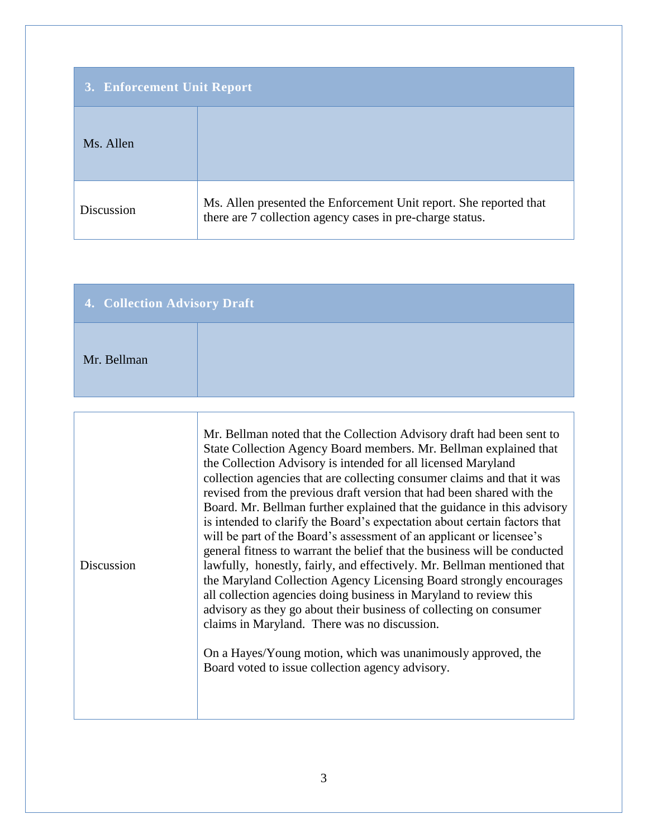| 3. Enforcement Unit Report |                                                                                                                                 |
|----------------------------|---------------------------------------------------------------------------------------------------------------------------------|
| Ms. Allen                  |                                                                                                                                 |
| Discussion                 | Ms. Allen presented the Enforcement Unit report. She reported that<br>there are 7 collection agency cases in pre-charge status. |

| 4. Collection Advisory Draft |  |  |
|------------------------------|--|--|
| Mr. Bellman                  |  |  |

| Discussion | Mr. Bellman noted that the Collection Advisory draft had been sent to<br>State Collection Agency Board members. Mr. Bellman explained that<br>the Collection Advisory is intended for all licensed Maryland<br>collection agencies that are collecting consumer claims and that it was<br>revised from the previous draft version that had been shared with the<br>Board. Mr. Bellman further explained that the guidance in this advisory<br>is intended to clarify the Board's expectation about certain factors that<br>will be part of the Board's assessment of an applicant or licensee's<br>general fitness to warrant the belief that the business will be conducted<br>lawfully, honestly, fairly, and effectively. Mr. Bellman mentioned that<br>the Maryland Collection Agency Licensing Board strongly encourages<br>all collection agencies doing business in Maryland to review this<br>advisory as they go about their business of collecting on consumer<br>claims in Maryland. There was no discussion.<br>On a Hayes/Young motion, which was unanimously approved, the<br>Board voted to issue collection agency advisory. |
|------------|----------------------------------------------------------------------------------------------------------------------------------------------------------------------------------------------------------------------------------------------------------------------------------------------------------------------------------------------------------------------------------------------------------------------------------------------------------------------------------------------------------------------------------------------------------------------------------------------------------------------------------------------------------------------------------------------------------------------------------------------------------------------------------------------------------------------------------------------------------------------------------------------------------------------------------------------------------------------------------------------------------------------------------------------------------------------------------------------------------------------------------------------|
|            |                                                                                                                                                                                                                                                                                                                                                                                                                                                                                                                                                                                                                                                                                                                                                                                                                                                                                                                                                                                                                                                                                                                                              |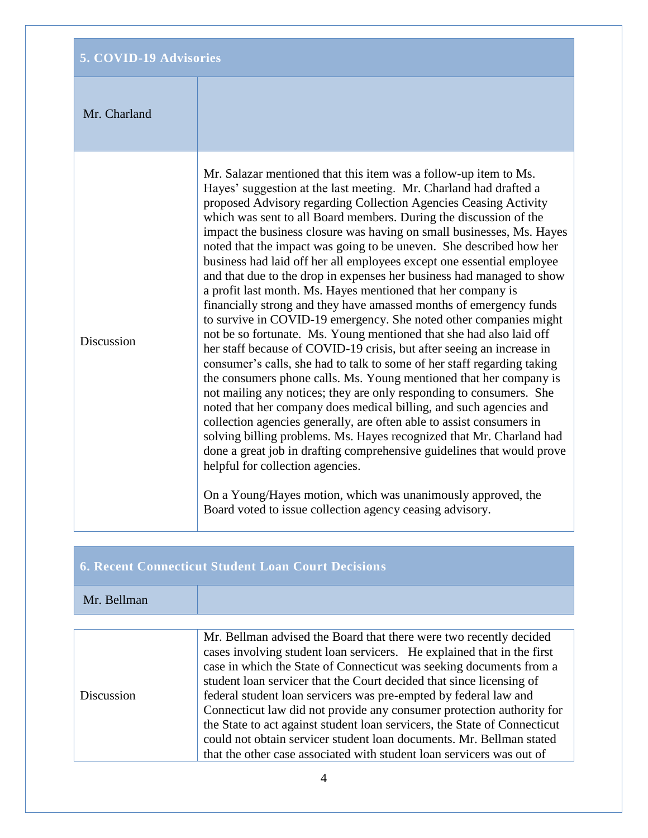## **5. COVID-19 Advisories**

## Mr. Charland

Discussion

Mr. Salazar mentioned that this item was a follow-up item to Ms. Hayes' suggestion at the last meeting. Mr. Charland had drafted a proposed Advisory regarding Collection Agencies Ceasing Activity which was sent to all Board members. During the discussion of the impact the business closure was having on small businesses, Ms. Hayes noted that the impact was going to be uneven. She described how her business had laid off her all employees except one essential employee and that due to the drop in expenses her business had managed to show a profit last month. Ms. Hayes mentioned that her company is financially strong and they have amassed months of emergency funds to survive in COVID-19 emergency. She noted other companies might not be so fortunate. Ms. Young mentioned that she had also laid off her staff because of COVID-19 crisis, but after seeing an increase in consumer's calls, she had to talk to some of her staff regarding taking the consumers phone calls. Ms. Young mentioned that her company is not mailing any notices; they are only responding to consumers. She noted that her company does medical billing, and such agencies and collection agencies generally, are often able to assist consumers in solving billing problems. Ms. Hayes recognized that Mr. Charland had done a great job in drafting comprehensive guidelines that would prove helpful for collection agencies.

On a Young/Hayes motion, which was unanimously approved, the Board voted to issue collection agency ceasing advisory.

## **6. Recent Connecticut Student Loan Court Decisions**

## Mr. Bellman

|            | Mr. Bellman advised the Board that there were two recently decided        |
|------------|---------------------------------------------------------------------------|
|            | cases involving student loan servicers. He explained that in the first    |
|            | case in which the State of Connecticut was seeking documents from a       |
|            | student loan servicer that the Court decided that since licensing of      |
| Discussion | federal student loan servicers was pre-empted by federal law and          |
|            | Connecticut law did not provide any consumer protection authority for     |
|            | the State to act against student loan servicers, the State of Connecticut |
|            | could not obtain servicer student loan documents. Mr. Bellman stated      |
|            | that the other case associated with student loan servicers was out of     |